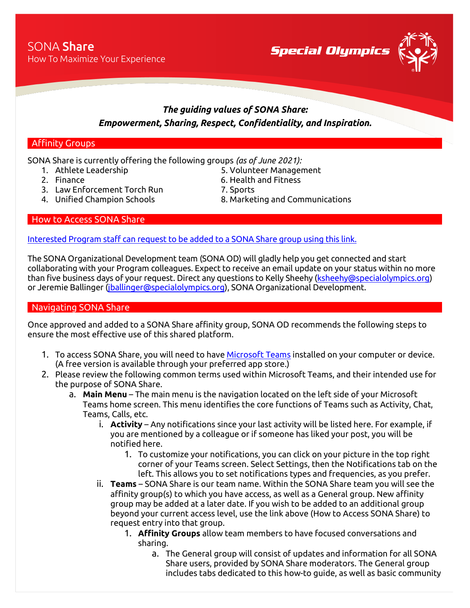**Special Olympics** 



## *The guiding values of SONA Share: Empowerment, Sharing, Respect, Confidentiality, and Inspiration.*

## Affinity Groups

SONA Share is currently offering the following groups *(as of June 2021):*

- 1. Athlete Leadership 1. S. Volunteer Management
- 
- 3. Law Enforcement Torch Run 7. Sports
- 
- 
- 2. Finance 6. Health and Fitness
	-
- 4. Unified Champion Schools 8. Marketing and Communications

How to Access SONA Share

[Interested Program staff can request to be added to a SONA Share group](https://app.smartsheet.com/b/form/f780f00f55a745d9b3655f418064fae6) using this link.

The SONA Organizational Development team (SONA OD) will gladly help you get connected and start collaborating with your Program colleagues. Expect to receive an email update on your status within no more than five business days of your request. Direct any questions to Kelly Sheehy [\(ksheehy@specialolympics.org\)](mailto:ksheehy@specialolympics.org) or Jeremie Ballinger [\(jballinger@specialolympics.org\)](mailto:jballinger@specialolympics.org), SONA Organizational Development.

## Navigating SONA Share

Once approved and added to a SONA Share affinity group, SONA OD recommends the following steps to ensure the most effective use of this shared platform.

- 1. To access SONA Share, you will need to hav[e Microsoft Teams](http://www.microsoft.com/teams) installed on your computer or device. (A free version is available through your preferred app store.)
- 2. Please review the following common terms used within Microsoft Teams, and their intended use for the purpose of SONA Share.
	- a. **Main Menu** The main menu is the navigation located on the left side of your Microsoft Teams home screen. This menu identifies the core functions of Teams such as Activity, Chat, Teams, Calls, etc.
		- i. **Activity** Any notifications since your last activity will be listed here. For example, if you are mentioned by a colleague or if someone has liked your post, you will be notified here.
			- 1. To customize your notifications, you can click on your picture in the top right corner of your Teams screen. Select Settings, then the Notifications tab on the left. This allows you to set notifications types and frequencies, as you prefer.
		- ii. **Teams** SONA Share is our team name. Within the SONA Share team you will see the affinity group(s) to which you have access, as well as a General group. New affinity group may be added at a later date. If you wish to be added to an additional group beyond your current access level, use the link above (How to Access SONA Share) to request entry into that group.
			- 1. **Affinity Groups** allow team members to have focused conversations and sharing.
				- a. The General group will consist of updates and information for all SONA Share users, provided by SONA Share moderators. The General group includes tabs dedicated to this how-to guide, as well as basic community